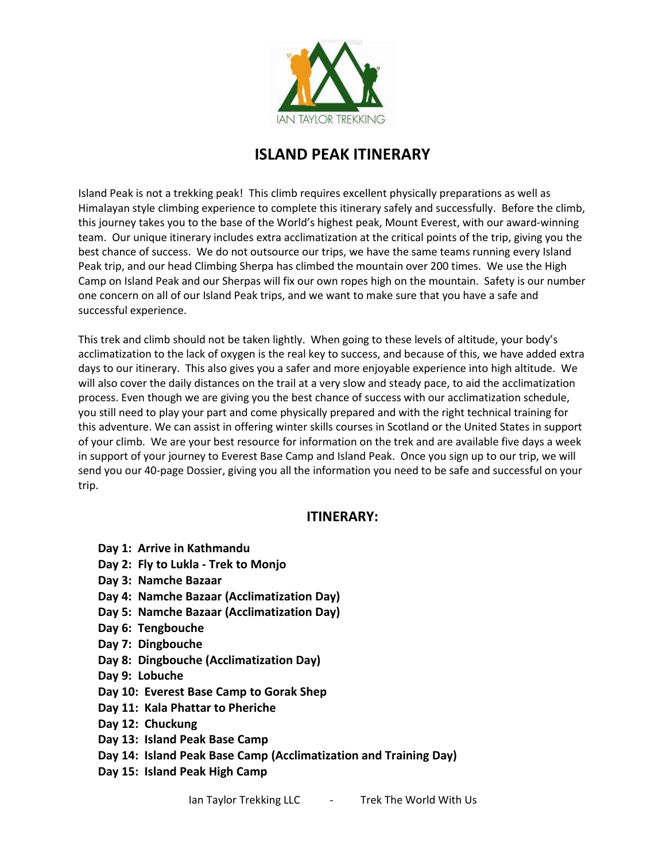

# **ISLAND PEAK ITINERARY**

Island Peak is not a trekking peak! This climb requires excellent physically preparations as well as Himalayan style climbing experience to complete this itinerary safely and successfully. Before the climb, this journey takes you to the base of the World's highest peak, Mount Everest, with our award-winning team. Our unique itinerary includes extra acclimatization at the critical points of the trip, giving you the best chance of success. We do not outsource our trips, we have the same teams running every Island Peak trip, and our head Climbing Sherpa has climbed the mountain over 200 times. We use the High Camp on Island Peak and our Sherpas will fix our own ropes high on the mountain. Safety is our number one concern on all of our Island Peak trips, and we want to make sure that you have a safe and successful experience.

This trek and climb should not be taken lightly. When going to these levels of altitude, your body's acclimatization to the lack of oxygen is the real key to success, and because of this, we have added extra days to our itinerary. This also gives you a safer and more enjoyable experience into high altitude. We will also cover the daily distances on the trail at a very slow and steady pace, to aid the acclimatization process. Even though we are giving you the best chance of success with our acclimatization schedule, you still need to play your part and come physically prepared and with the right technical training for this adventure. We can assist in offering winter skills courses in Scotland or the United States in support of your climb. We are your best resource for information on the trek and are available five days a week in support of your journey to Everest Base Camp and Island Peak. Once you sign up to our trip, we will send you our 40-page Dossier, giving you all the information you need to be safe and successful on your trip.

# **ITINERARY:**

- **Day 1: Arrive in Kathmandu**
- **Day 2: Fly to Lukla - Trek to Monjo**
- **Day 3: Namche Bazaar**
- **Day 4: Namche Bazaar (Acclimatization Day)**
- **Day 5: Namche Bazaar (Acclimatization Day)**
- **Day 6: Tengbouche**
- **Day 7: Dingbouche**
- **Day 8: Dingbouche (Acclimatization Day)**
- **Day 9: Lobuche**
- **Day 10: Everest Base Camp to Gorak Shep**
- **Day 11: Kala Phattar to Pheriche**
- **Day 12: Chuckung**
- **Day 13: Island Peak Base Camp**
- **Day 14: Island Peak Base Camp (Acclimatization and Training Day)**
- **Day 15: Island Peak High Camp**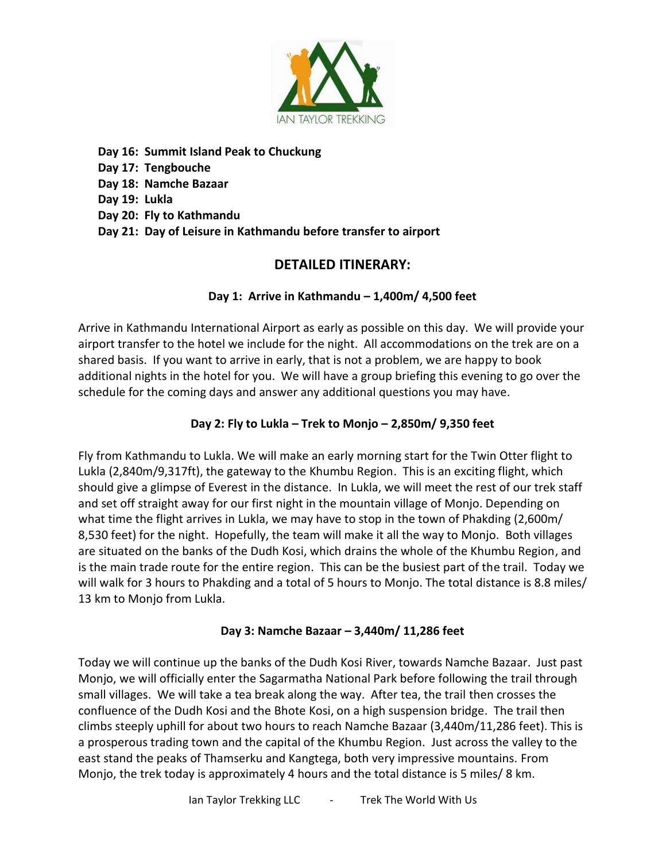

**Day 16: Summit Island Peak to Chuckung Day 17: Tengbouche** 

**Day 18: Namche Bazaar** 

**Day 19: Lukla** 

**Day 20: Fly to Kathmandu** 

**Day 21: Day of Leisure in Kathmandu before transfer to airport**

# **DETAILED ITINERARY:**

#### **Day 1: Arrive in Kathmandu – 1,400m/ 4,500 feet**

Arrive in Kathmandu International Airport as early as possible on this day. We will provide your airport transfer to the hotel we include for the night. All accommodations on the trek are on a shared basis. If you want to arrive in early, that is not a problem, we are happy to book additional nights in the hotel for you. We will have a group briefing this evening to go over the schedule for the coming days and answer any additional questions you may have.

### **Day 2: Fly to Lukla – Trek to Monjo – 2,850m/ 9,350 feet**

Fly from Kathmandu to Lukla. We will make an early morning start for the Twin Otter flight to Lukla (2,840m/9,317ft), the gateway to the Khumbu Region. This is an exciting flight, which should give a glimpse of Everest in the distance. In Lukla, we will meet the rest of our trek staff and set off straight away for our first night in the mountain village of Monjo. Depending on what time the flight arrives in Lukla, we may have to stop in the town of Phakding (2,600m/ 8,530 feet) for the night. Hopefully, the team will make it all the way to Monjo. Both villages are situated on the banks of the Dudh Kosi, which drains the whole of the Khumbu Region, and is the main trade route for the entire region. This can be the busiest part of the trail. Today we will walk for 3 hours to Phakding and a total of 5 hours to Monjo. The total distance is 8.8 miles/ 13 km to Monjo from Lukla.

#### **Day 3: Namche Bazaar – 3,440m/ 11,286 feet**

Today we will continue up the banks of the Dudh Kosi River, towards Namche Bazaar. Just past Monjo, we will officially enter the Sagarmatha National Park before following the trail through small villages. We will take a tea break along the way. After tea, the trail then crosses the confluence of the Dudh Kosi and the Bhote Kosi, on a high suspension bridge. The trail then climbs steeply uphill for about two hours to reach Namche Bazaar (3,440m/11,286 feet). This is a prosperous trading town and the capital of the Khumbu Region. Just across the valley to the east stand the peaks of Thamserku and Kangtega, both very impressive mountains. From Monjo, the trek today is approximately 4 hours and the total distance is 5 miles/ 8 km.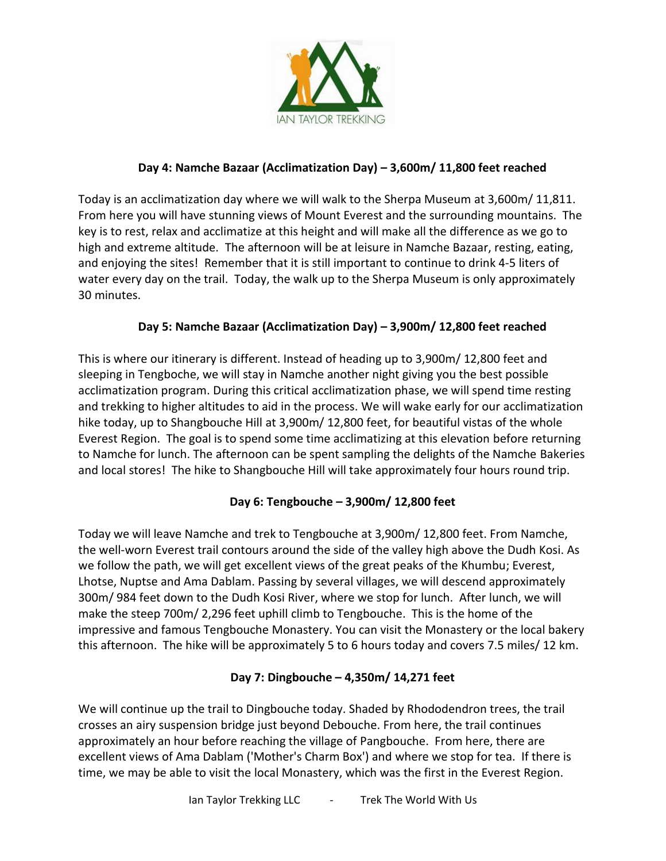

#### **Day 4: Namche Bazaar (Acclimatization Day) – 3,600m/ 11,800 feet reached**

Today is an acclimatization day where we will walk to the Sherpa Museum at 3,600m/ 11,811. From here you will have stunning views of Mount Everest and the surrounding mountains. The key is to rest, relax and acclimatize at this height and will make all the difference as we go to high and extreme altitude. The afternoon will be at leisure in Namche Bazaar, resting, eating, and enjoying the sites! Remember that it is still important to continue to drink 4-5 liters of water every day on the trail. Today, the walk up to the Sherpa Museum is only approximately 30 minutes.

#### **Day 5: Namche Bazaar (Acclimatization Day) – 3,900m/ 12,800 feet reached**

This is where our itinerary is different. Instead of heading up to 3,900m/ 12,800 feet and sleeping in Tengboche, we will stay in Namche another night giving you the best possible acclimatization program. During this critical acclimatization phase, we will spend time resting and trekking to higher altitudes to aid in the process. We will wake early for our acclimatization hike today, up to Shangbouche Hill at 3,900m/ 12,800 feet, for beautiful vistas of the whole Everest Region. The goal is to spend some time acclimatizing at this elevation before returning to Namche for lunch. The afternoon can be spent sampling the delights of the Namche Bakeries and local stores! The hike to Shangbouche Hill will take approximately four hours round trip.

# **Day 6: Tengbouche – 3,900m/ 12,800 feet**

Today we will leave Namche and trek to Tengbouche at 3,900m/ 12,800 feet. From Namche, the well-worn Everest trail contours around the side of the valley high above the Dudh Kosi. As we follow the path, we will get excellent views of the great peaks of the Khumbu; Everest, Lhotse, Nuptse and Ama Dablam. Passing by several villages, we will descend approximately 300m/ 984 feet down to the Dudh Kosi River, where we stop for lunch. After lunch, we will make the steep 700m/ 2,296 feet uphill climb to Tengbouche. This is the home of the impressive and famous Tengbouche Monastery. You can visit the Monastery or the local bakery this afternoon. The hike will be approximately 5 to 6 hours today and covers 7.5 miles/ 12 km.

#### **Day 7: Dingbouche – 4,350m/ 14,271 feet**

We will continue up the trail to Dingbouche today. Shaded by Rhododendron trees, the trail crosses an airy suspension bridge just beyond Debouche. From here, the trail continues approximately an hour before reaching the village of Pangbouche. From here, there are excellent views of Ama Dablam ('Mother's Charm Box') and where we stop for tea. If there is time, we may be able to visit the local Monastery, which was the first in the Everest Region.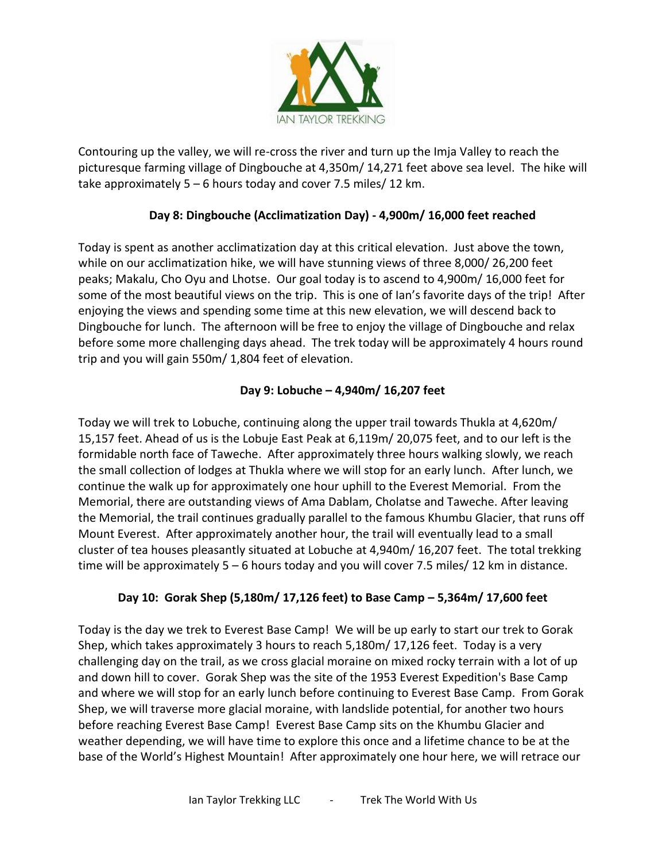

Contouring up the valley, we will re-cross the river and turn up the Imja Valley to reach the picturesque farming village of Dingbouche at 4,350m/ 14,271 feet above sea level. The hike will take approximately 5 – 6 hours today and cover 7.5 miles/ 12 km.

# **Day 8: Dingbouche (Acclimatization Day) - 4,900m/ 16,000 feet reached**

Today is spent as another acclimatization day at this critical elevation. Just above the town, while on our acclimatization hike, we will have stunning views of three 8,000/ 26,200 feet peaks; Makalu, Cho Oyu and Lhotse. Our goal today is to ascend to 4,900m/ 16,000 feet for some of the most beautiful views on the trip. This is one of Ian's favorite days of the trip! After enjoying the views and spending some time at this new elevation, we will descend back to Dingbouche for lunch. The afternoon will be free to enjoy the village of Dingbouche and relax before some more challenging days ahead. The trek today will be approximately 4 hours round trip and you will gain 550m/ 1,804 feet of elevation.

# **Day 9: Lobuche – 4,940m/ 16,207 feet**

Today we will trek to Lobuche, continuing along the upper trail towards Thukla at 4,620m/ 15,157 feet. Ahead of us is the Lobuje East Peak at 6,119m/ 20,075 feet, and to our left is the formidable north face of Taweche. After approximately three hours walking slowly, we reach the small collection of lodges at Thukla where we will stop for an early lunch. After lunch, we continue the walk up for approximately one hour uphill to the Everest Memorial. From the Memorial, there are outstanding views of Ama Dablam, Cholatse and Taweche. After leaving the Memorial, the trail continues gradually parallel to the famous Khumbu Glacier, that runs off Mount Everest. After approximately another hour, the trail will eventually lead to a small cluster of tea houses pleasantly situated at Lobuche at 4,940m/ 16,207 feet. The total trekking time will be approximately 5 – 6 hours today and you will cover 7.5 miles/ 12 km in distance.

# **Day 10: Gorak Shep (5,180m/ 17,126 feet) to Base Camp – 5,364m/ 17,600 feet**

Today is the day we trek to Everest Base Camp! We will be up early to start our trek to Gorak Shep, which takes approximately 3 hours to reach 5,180m/ 17,126 feet. Today is a very challenging day on the trail, as we cross glacial moraine on mixed rocky terrain with a lot of up and down hill to cover. Gorak Shep was the site of the 1953 Everest Expedition's Base Camp and where we will stop for an early lunch before continuing to Everest Base Camp. From Gorak Shep, we will traverse more glacial moraine, with landslide potential, for another two hours before reaching Everest Base Camp! Everest Base Camp sits on the Khumbu Glacier and weather depending, we will have time to explore this once and a lifetime chance to be at the base of the World's Highest Mountain! After approximately one hour here, we will retrace our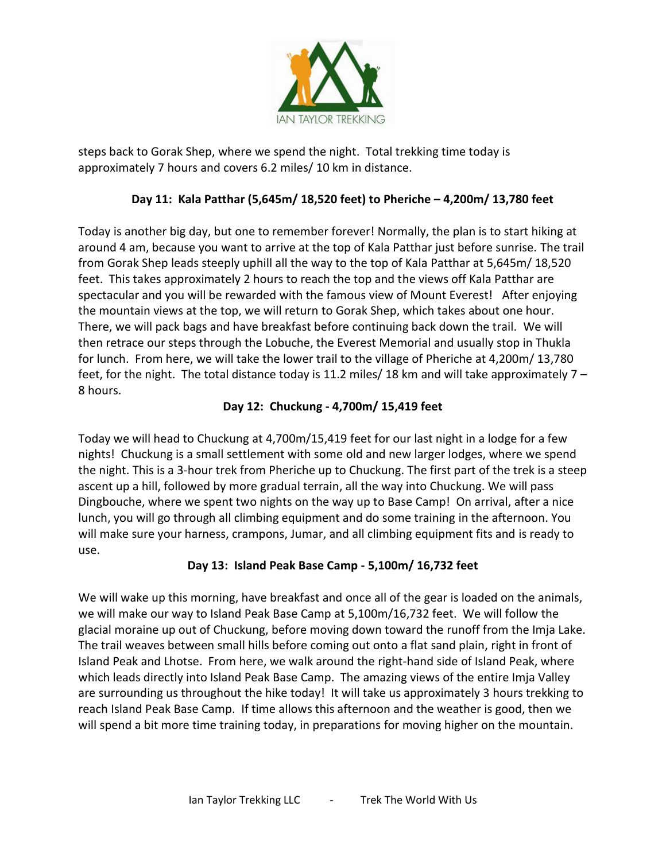

steps back to Gorak Shep, where we spend the night. Total trekking time today is approximately 7 hours and covers 6.2 miles/ 10 km in distance.

# **Day 11: Kala Patthar (5,645m/ 18,520 feet) to Pheriche – 4,200m/ 13,780 feet**

Today is another big day, but one to remember forever! Normally, the plan is to start hiking at around 4 am, because you want to arrive at the top of Kala Patthar just before sunrise. The trail from Gorak Shep leads steeply uphill all the way to the top of Kala Patthar at 5,645m/ 18,520 feet. This takes approximately 2 hours to reach the top and the views off Kala Patthar are spectacular and you will be rewarded with the famous view of Mount Everest! After enjoying the mountain views at the top, we will return to Gorak Shep, which takes about one hour. There, we will pack bags and have breakfast before continuing back down the trail. We will then retrace our steps through the Lobuche, the Everest Memorial and usually stop in Thukla for lunch. From here, we will take the lower trail to the village of Pheriche at 4,200m/ 13,780 feet, for the night. The total distance today is 11.2 miles/ 18 km and will take approximately 7 – 8 hours.

#### **Day 12: Chuckung - 4,700m/ 15,419 feet**

Today we will head to Chuckung at 4,700m/15,419 feet for our last night in a lodge for a few nights! Chuckung is a small settlement with some old and new larger lodges, where we spend the night. This is a 3-hour trek from Pheriche up to Chuckung. The first part of the trek is a steep ascent up a hill, followed by more gradual terrain, all the way into Chuckung. We will pass Dingbouche, where we spent two nights on the way up to Base Camp! On arrival, after a nice lunch, you will go through all climbing equipment and do some training in the afternoon. You will make sure your harness, crampons, Jumar, and all climbing equipment fits and is ready to use.

#### **Day 13: Island Peak Base Camp - 5,100m/ 16,732 feet**

We will wake up this morning, have breakfast and once all of the gear is loaded on the animals, we will make our way to Island Peak Base Camp at 5,100m/16,732 feet. We will follow the glacial moraine up out of Chuckung, before moving down toward the runoff from the Imja Lake. The trail weaves between small hills before coming out onto a flat sand plain, right in front of Island Peak and Lhotse. From here, we walk around the right-hand side of Island Peak, where which leads directly into Island Peak Base Camp. The amazing views of the entire Imja Valley are surrounding us throughout the hike today! It will take us approximately 3 hours trekking to reach Island Peak Base Camp. If time allows this afternoon and the weather is good, then we will spend a bit more time training today, in preparations for moving higher on the mountain.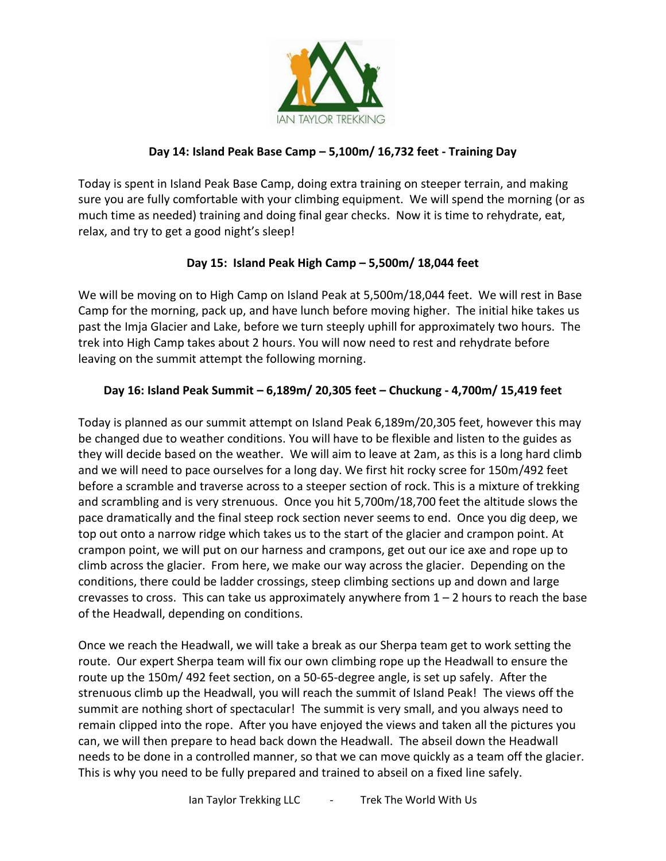

#### **Day 14: Island Peak Base Camp – 5,100m/ 16,732 feet - Training Day**

Today is spent in Island Peak Base Camp, doing extra training on steeper terrain, and making sure you are fully comfortable with your climbing equipment. We will spend the morning (or as much time as needed) training and doing final gear checks. Now it is time to rehydrate, eat, relax, and try to get a good night's sleep!

# **Day 15: Island Peak High Camp – 5,500m/ 18,044 feet**

We will be moving on to High Camp on Island Peak at 5,500m/18,044 feet. We will rest in Base Camp for the morning, pack up, and have lunch before moving higher. The initial hike takes us past the Imja Glacier and Lake, before we turn steeply uphill for approximately two hours. The trek into High Camp takes about 2 hours. You will now need to rest and rehydrate before leaving on the summit attempt the following morning.

#### **Day 16: Island Peak Summit – 6,189m/ 20,305 feet – Chuckung - 4,700m/ 15,419 feet**

Today is planned as our summit attempt on Island Peak 6,189m/20,305 feet, however this may be changed due to weather conditions. You will have to be flexible and listen to the guides as they will decide based on the weather. We will aim to leave at 2am, as this is a long hard climb and we will need to pace ourselves for a long day. We first hit rocky scree for 150m/492 feet before a scramble and traverse across to a steeper section of rock. This is a mixture of trekking and scrambling and is very strenuous. Once you hit 5,700m/18,700 feet the altitude slows the pace dramatically and the final steep rock section never seems to end. Once you dig deep, we top out onto a narrow ridge which takes us to the start of the glacier and crampon point. At crampon point, we will put on our harness and crampons, get out our ice axe and rope up to climb across the glacier. From here, we make our way across the glacier. Depending on the conditions, there could be ladder crossings, steep climbing sections up and down and large crevasses to cross. This can take us approximately anywhere from  $1 - 2$  hours to reach the base of the Headwall, depending on conditions.

Once we reach the Headwall, we will take a break as our Sherpa team get to work setting the route. Our expert Sherpa team will fix our own climbing rope up the Headwall to ensure the route up the 150m/ 492 feet section, on a 50-65-degree angle, is set up safely. After the strenuous climb up the Headwall, you will reach the summit of Island Peak! The views off the summit are nothing short of spectacular! The summit is very small, and you always need to remain clipped into the rope. After you have enjoyed the views and taken all the pictures you can, we will then prepare to head back down the Headwall. The abseil down the Headwall needs to be done in a controlled manner, so that we can move quickly as a team off the glacier. This is why you need to be fully prepared and trained to abseil on a fixed line safely.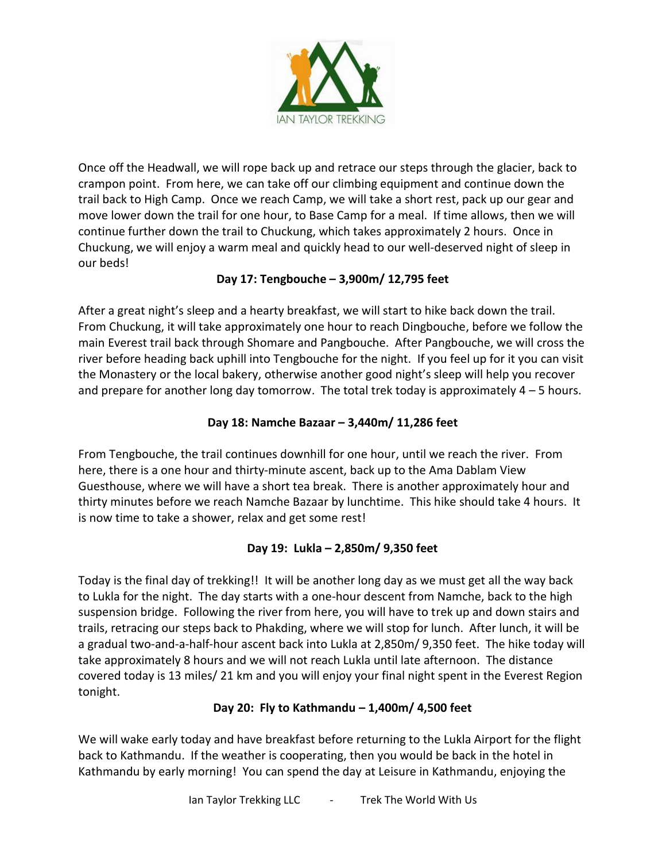

Once off the Headwall, we will rope back up and retrace our steps through the glacier, back to crampon point. From here, we can take off our climbing equipment and continue down the trail back to High Camp. Once we reach Camp, we will take a short rest, pack up our gear and move lower down the trail for one hour, to Base Camp for a meal. If time allows, then we will continue further down the trail to Chuckung, which takes approximately 2 hours. Once in Chuckung, we will enjoy a warm meal and quickly head to our well-deserved night of sleep in our beds!

# **Day 17: Tengbouche – 3,900m/ 12,795 feet**

After a great night's sleep and a hearty breakfast, we will start to hike back down the trail. From Chuckung, it will take approximately one hour to reach Dingbouche, before we follow the main Everest trail back through Shomare and Pangbouche. After Pangbouche, we will cross the river before heading back uphill into Tengbouche for the night. If you feel up for it you can visit the Monastery or the local bakery, otherwise another good night's sleep will help you recover and prepare for another long day tomorrow. The total trek today is approximately  $4 - 5$  hours.

# **Day 18: Namche Bazaar – 3,440m/ 11,286 feet**

From Tengbouche, the trail continues downhill for one hour, until we reach the river. From here, there is a one hour and thirty-minute ascent, back up to the Ama Dablam View Guesthouse, where we will have a short tea break. There is another approximately hour and thirty minutes before we reach Namche Bazaar by lunchtime. This hike should take 4 hours. It is now time to take a shower, relax and get some rest!

# **Day 19: Lukla – 2,850m/ 9,350 feet**

Today is the final day of trekking!! It will be another long day as we must get all the way back to Lukla for the night. The day starts with a one-hour descent from Namche, back to the high suspension bridge. Following the river from here, you will have to trek up and down stairs and trails, retracing our steps back to Phakding, where we will stop for lunch. After lunch, it will be a gradual two-and-a-half-hour ascent back into Lukla at 2,850m/ 9,350 feet. The hike today will take approximately 8 hours and we will not reach Lukla until late afternoon. The distance covered today is 13 miles/ 21 km and you will enjoy your final night spent in the Everest Region tonight.

# **Day 20: Fly to Kathmandu – 1,400m/ 4,500 feet**

We will wake early today and have breakfast before returning to the Lukla Airport for the flight back to Kathmandu. If the weather is cooperating, then you would be back in the hotel in Kathmandu by early morning! You can spend the day at Leisure in Kathmandu, enjoying the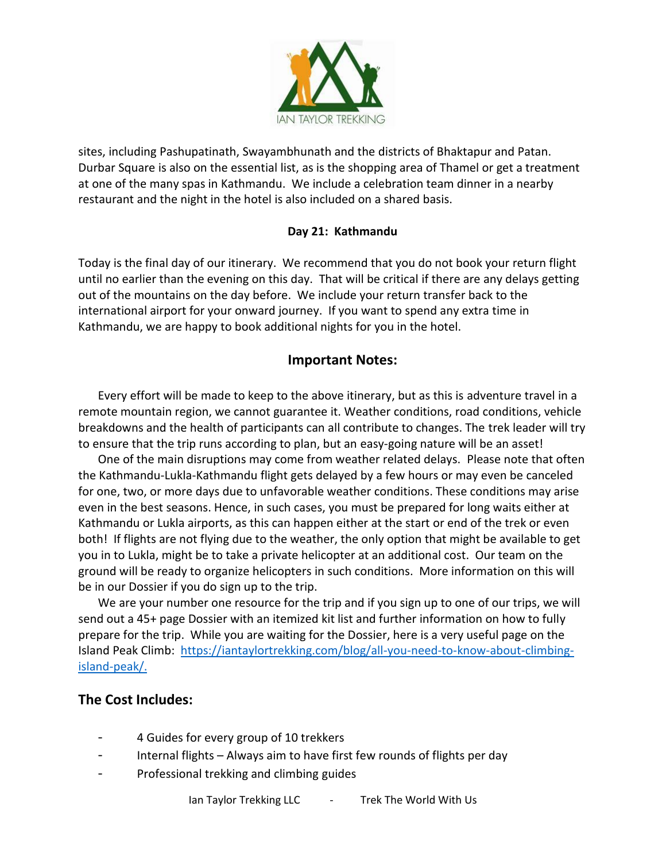

sites, including Pashupatinath, Swayambhunath and the districts of Bhaktapur and Patan. Durbar Square is also on the essential list, as is the shopping area of Thamel or get a treatment at one of the many spas in Kathmandu. We include a celebration team dinner in a nearby restaurant and the night in the hotel is also included on a shared basis.

#### **Day 21: Kathmandu**

Today is the final day of our itinerary. We recommend that you do not book your return flight until no earlier than the evening on this day. That will be critical if there are any delays getting out of the mountains on the day before. We include your return transfer back to the international airport for your onward journey. If you want to spend any extra time in Kathmandu, we are happy to book additional nights for you in the hotel.

#### **Important Notes:**

Every effort will be made to keep to the above itinerary, but as this is adventure travel in a remote mountain region, we cannot guarantee it. Weather conditions, road conditions, vehicle breakdowns and the health of participants can all contribute to changes. The trek leader will try to ensure that the trip runs according to plan, but an easy-going nature will be an asset!

One of the main disruptions may come from weather related delays. Please note that often the Kathmandu-Lukla-Kathmandu flight gets delayed by a few hours or may even be canceled for one, two, or more days due to unfavorable weather conditions. These conditions may arise even in the best seasons. Hence, in such cases, you must be prepared for long waits either at Kathmandu or Lukla airports, as this can happen either at the start or end of the trek or even both! If flights are not flying due to the weather, the only option that might be available to get you in to Lukla, might be to take a private helicopter at an additional cost. Our team on the ground will be ready to organize helicopters in such conditions. More information on this will be in our Dossier if you do sign up to the trip.

We are your number one resource for the trip and if you sign up to one of our trips, we will send out a 45+ page Dossier with an itemized kit list and further information on how to fully prepare for the trip. While you are waiting for the Dossier, here is a very useful page on the Island Peak Climb: [https://iantaylortrekking.com/blog/all-you-need-to-know-about-climbing](https://iantaylortrekking.com/blog/all-you-need-to-know-about-climbing-island-peak/)[island-peak/.](https://iantaylortrekking.com/blog/all-you-need-to-know-about-climbing-island-peak/)

# **The Cost Includes:**

- 4 Guides for every group of 10 trekkers
- Internal flights Always aim to have first few rounds of flights per day
- Professional trekking and climbing guides